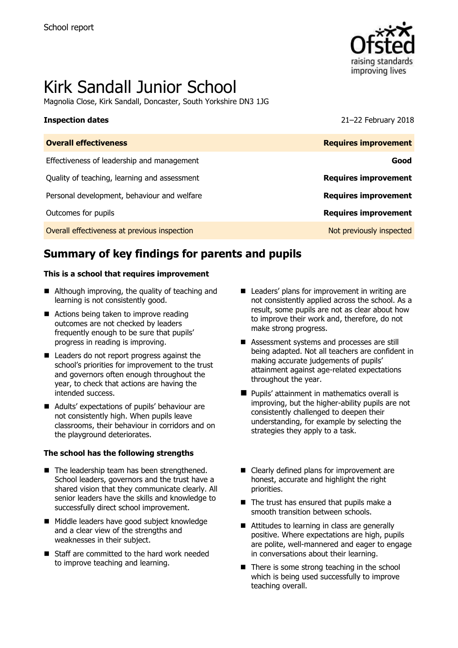

# Kirk Sandall Junior School

Magnolia Close, Kirk Sandall, Doncaster, South Yorkshire DN3 1JG

**Inspection dates** 21–22 February 2018

| <b>Overall effectiveness</b>                 | <b>Requires improvement</b> |
|----------------------------------------------|-----------------------------|
| Effectiveness of leadership and management   | Good                        |
| Quality of teaching, learning and assessment | <b>Requires improvement</b> |
| Personal development, behaviour and welfare  | <b>Requires improvement</b> |
| Outcomes for pupils                          | <b>Requires improvement</b> |
| Overall effectiveness at previous inspection | Not previously inspected    |

# **Summary of key findings for parents and pupils**

### **This is a school that requires improvement**

- Although improving, the quality of teaching and learning is not consistently good.
- Actions being taken to improve reading outcomes are not checked by leaders frequently enough to be sure that pupils' progress in reading is improving.
- Leaders do not report progress against the school's priorities for improvement to the trust and governors often enough throughout the year, to check that actions are having the intended success.
- Adults' expectations of pupils' behaviour are not consistently high. When pupils leave classrooms, their behaviour in corridors and on the playground deteriorates.

### **The school has the following strengths**

- $\blacksquare$  The leadership team has been strengthened. School leaders, governors and the trust have a shared vision that they communicate clearly. All senior leaders have the skills and knowledge to successfully direct school improvement.
- Middle leaders have good subject knowledge and a clear view of the strengths and weaknesses in their subject.
- Staff are committed to the hard work needed to improve teaching and learning.
- Leaders' plans for improvement in writing are not consistently applied across the school. As a result, some pupils are not as clear about how to improve their work and, therefore, do not make strong progress.
- Assessment systems and processes are still being adapted. Not all teachers are confident in making accurate judgements of pupils' attainment against age-related expectations throughout the year.
- **Pupils' attainment in mathematics overall is** improving, but the higher-ability pupils are not consistently challenged to deepen their understanding, for example by selecting the strategies they apply to a task.
- Clearly defined plans for improvement are honest, accurate and highlight the right priorities.
- The trust has ensured that pupils make a smooth transition between schools.
- Attitudes to learning in class are generally positive. Where expectations are high, pupils are polite, well-mannered and eager to engage in conversations about their learning.
- $\blacksquare$  There is some strong teaching in the school which is being used successfully to improve teaching overall.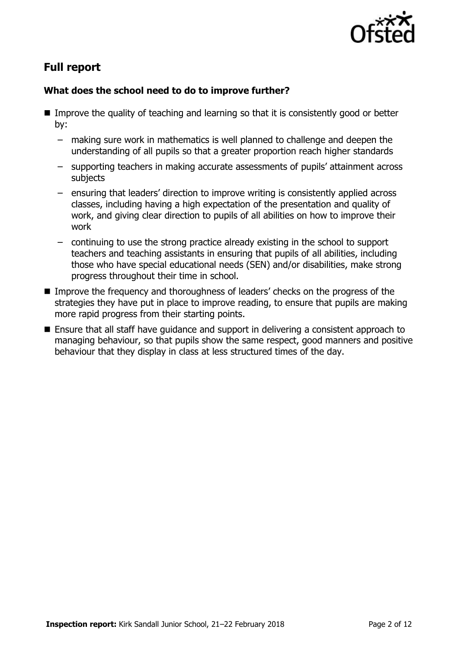

# **Full report**

### **What does the school need to do to improve further?**

- **IMPROM** Improve the quality of teaching and learning so that it is consistently good or better by:
	- making sure work in mathematics is well planned to challenge and deepen the understanding of all pupils so that a greater proportion reach higher standards
	- supporting teachers in making accurate assessments of pupils' attainment across subjects
	- ensuring that leaders' direction to improve writing is consistently applied across classes, including having a high expectation of the presentation and quality of work, and giving clear direction to pupils of all abilities on how to improve their work
	- continuing to use the strong practice already existing in the school to support teachers and teaching assistants in ensuring that pupils of all abilities, including those who have special educational needs (SEN) and/or disabilities, make strong progress throughout their time in school.
- Improve the frequency and thoroughness of leaders' checks on the progress of the strategies they have put in place to improve reading, to ensure that pupils are making more rapid progress from their starting points.
- Ensure that all staff have quidance and support in delivering a consistent approach to managing behaviour, so that pupils show the same respect, good manners and positive behaviour that they display in class at less structured times of the day.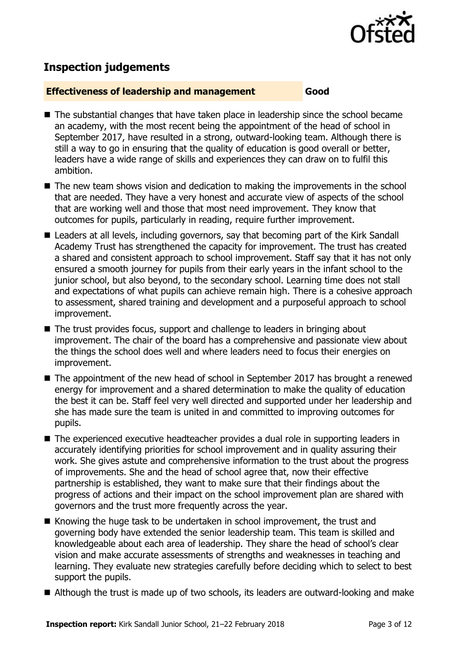

# **Inspection judgements**

### **Effectiveness of leadership and management Good**

- The substantial changes that have taken place in leadership since the school became an academy, with the most recent being the appointment of the head of school in September 2017, have resulted in a strong, outward-looking team. Although there is still a way to go in ensuring that the quality of education is good overall or better, leaders have a wide range of skills and experiences they can draw on to fulfil this ambition.
- The new team shows vision and dedication to making the improvements in the school that are needed. They have a very honest and accurate view of aspects of the school that are working well and those that most need improvement. They know that outcomes for pupils, particularly in reading, require further improvement.
- Leaders at all levels, including governors, say that becoming part of the Kirk Sandall Academy Trust has strengthened the capacity for improvement. The trust has created a shared and consistent approach to school improvement. Staff say that it has not only ensured a smooth journey for pupils from their early years in the infant school to the junior school, but also beyond, to the secondary school. Learning time does not stall and expectations of what pupils can achieve remain high. There is a cohesive approach to assessment, shared training and development and a purposeful approach to school improvement.
- The trust provides focus, support and challenge to leaders in bringing about improvement. The chair of the board has a comprehensive and passionate view about the things the school does well and where leaders need to focus their energies on improvement.
- The appointment of the new head of school in September 2017 has brought a renewed energy for improvement and a shared determination to make the quality of education the best it can be. Staff feel very well directed and supported under her leadership and she has made sure the team is united in and committed to improving outcomes for pupils.
- The experienced executive headteacher provides a dual role in supporting leaders in accurately identifying priorities for school improvement and in quality assuring their work. She gives astute and comprehensive information to the trust about the progress of improvements. She and the head of school agree that, now their effective partnership is established, they want to make sure that their findings about the progress of actions and their impact on the school improvement plan are shared with governors and the trust more frequently across the year.
- Knowing the huge task to be undertaken in school improvement, the trust and governing body have extended the senior leadership team. This team is skilled and knowledgeable about each area of leadership. They share the head of school's clear vision and make accurate assessments of strengths and weaknesses in teaching and learning. They evaluate new strategies carefully before deciding which to select to best support the pupils.
- Although the trust is made up of two schools, its leaders are outward-looking and make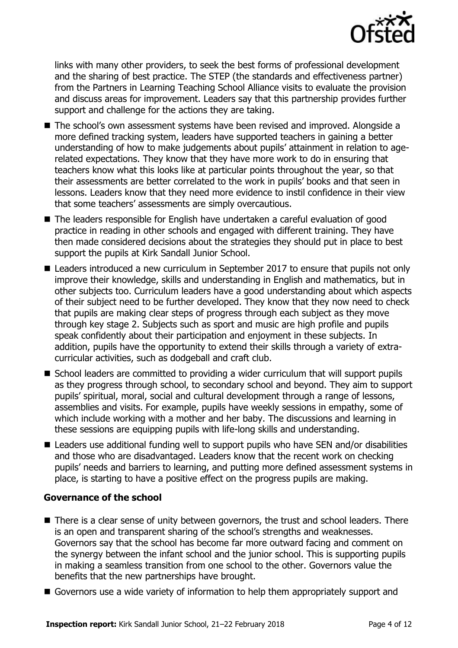

links with many other providers, to seek the best forms of professional development and the sharing of best practice. The STEP (the standards and effectiveness partner) from the Partners in Learning Teaching School Alliance visits to evaluate the provision and discuss areas for improvement. Leaders say that this partnership provides further support and challenge for the actions they are taking.

- The school's own assessment systems have been revised and improved. Alongside a more defined tracking system, leaders have supported teachers in gaining a better understanding of how to make judgements about pupils' attainment in relation to agerelated expectations. They know that they have more work to do in ensuring that teachers know what this looks like at particular points throughout the year, so that their assessments are better correlated to the work in pupils' books and that seen in lessons. Leaders know that they need more evidence to instil confidence in their view that some teachers' assessments are simply overcautious.
- The leaders responsible for English have undertaken a careful evaluation of good practice in reading in other schools and engaged with different training. They have then made considered decisions about the strategies they should put in place to best support the pupils at Kirk Sandall Junior School.
- Leaders introduced a new curriculum in September 2017 to ensure that pupils not only improve their knowledge, skills and understanding in English and mathematics, but in other subjects too. Curriculum leaders have a good understanding about which aspects of their subject need to be further developed. They know that they now need to check that pupils are making clear steps of progress through each subject as they move through key stage 2. Subjects such as sport and music are high profile and pupils speak confidently about their participation and enjoyment in these subjects. In addition, pupils have the opportunity to extend their skills through a variety of extracurricular activities, such as dodgeball and craft club.
- School leaders are committed to providing a wider curriculum that will support pupils as they progress through school, to secondary school and beyond. They aim to support pupils' spiritual, moral, social and cultural development through a range of lessons, assemblies and visits. For example, pupils have weekly sessions in empathy, some of which include working with a mother and her baby. The discussions and learning in these sessions are equipping pupils with life-long skills and understanding.
- Leaders use additional funding well to support pupils who have SEN and/or disabilities and those who are disadvantaged. Leaders know that the recent work on checking pupils' needs and barriers to learning, and putting more defined assessment systems in place, is starting to have a positive effect on the progress pupils are making.

### **Governance of the school**

- There is a clear sense of unity between governors, the trust and school leaders. There is an open and transparent sharing of the school's strengths and weaknesses. Governors say that the school has become far more outward facing and comment on the synergy between the infant school and the junior school. This is supporting pupils in making a seamless transition from one school to the other. Governors value the benefits that the new partnerships have brought.
- Governors use a wide variety of information to help them appropriately support and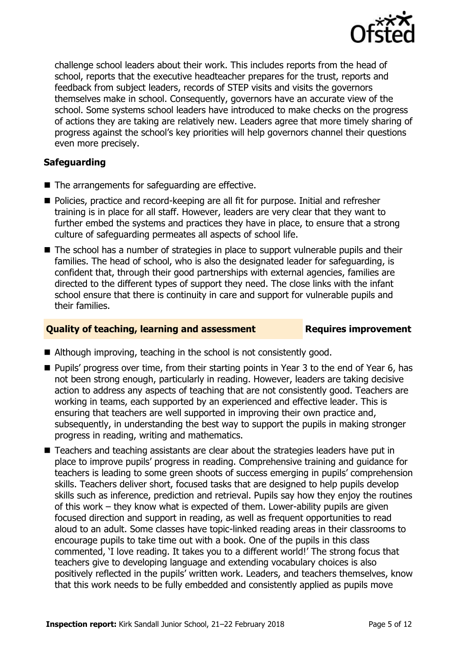

challenge school leaders about their work. This includes reports from the head of school, reports that the executive headteacher prepares for the trust, reports and feedback from subject leaders, records of STEP visits and visits the governors themselves make in school. Consequently, governors have an accurate view of the school. Some systems school leaders have introduced to make checks on the progress of actions they are taking are relatively new. Leaders agree that more timely sharing of progress against the school's key priorities will help governors channel their questions even more precisely.

### **Safeguarding**

- $\blacksquare$  The arrangements for safeguarding are effective.
- Policies, practice and record-keeping are all fit for purpose. Initial and refresher training is in place for all staff. However, leaders are very clear that they want to further embed the systems and practices they have in place, to ensure that a strong culture of safeguarding permeates all aspects of school life.
- The school has a number of strategies in place to support vulnerable pupils and their families. The head of school, who is also the designated leader for safeguarding, is confident that, through their good partnerships with external agencies, families are directed to the different types of support they need. The close links with the infant school ensure that there is continuity in care and support for vulnerable pupils and their families.

### **Quality of teaching, learning and assessment Requires improvement**

- Although improving, teaching in the school is not consistently good.
- Pupils' progress over time, from their starting points in Year 3 to the end of Year 6, has not been strong enough, particularly in reading. However, leaders are taking decisive action to address any aspects of teaching that are not consistently good. Teachers are working in teams, each supported by an experienced and effective leader. This is ensuring that teachers are well supported in improving their own practice and, subsequently, in understanding the best way to support the pupils in making stronger progress in reading, writing and mathematics.
- Teachers and teaching assistants are clear about the strategies leaders have put in place to improve pupils' progress in reading. Comprehensive training and guidance for teachers is leading to some green shoots of success emerging in pupils' comprehension skills. Teachers deliver short, focused tasks that are designed to help pupils develop skills such as inference, prediction and retrieval. Pupils say how they enjoy the routines of this work – they know what is expected of them. Lower-ability pupils are given focused direction and support in reading, as well as frequent opportunities to read aloud to an adult. Some classes have topic-linked reading areas in their classrooms to encourage pupils to take time out with a book. One of the pupils in this class commented, 'I love reading. It takes you to a different world!' The strong focus that teachers give to developing language and extending vocabulary choices is also positively reflected in the pupils' written work. Leaders, and teachers themselves, know that this work needs to be fully embedded and consistently applied as pupils move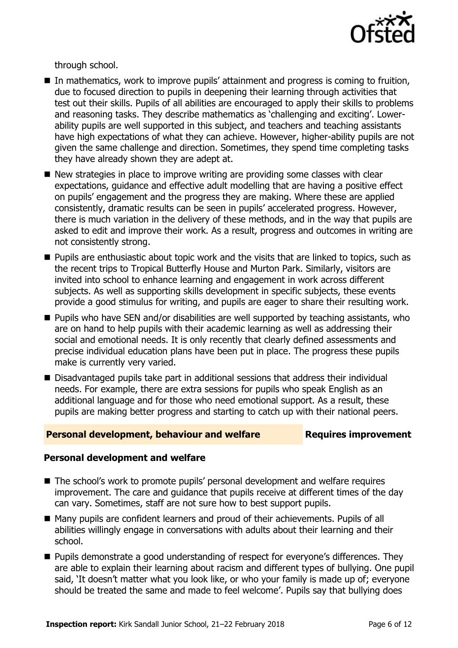

through school.

- In mathematics, work to improve pupils' attainment and progress is coming to fruition, due to focused direction to pupils in deepening their learning through activities that test out their skills. Pupils of all abilities are encouraged to apply their skills to problems and reasoning tasks. They describe mathematics as 'challenging and exciting'. Lowerability pupils are well supported in this subject, and teachers and teaching assistants have high expectations of what they can achieve. However, higher-ability pupils are not given the same challenge and direction. Sometimes, they spend time completing tasks they have already shown they are adept at.
- New strategies in place to improve writing are providing some classes with clear expectations, guidance and effective adult modelling that are having a positive effect on pupils' engagement and the progress they are making. Where these are applied consistently, dramatic results can be seen in pupils' accelerated progress. However, there is much variation in the delivery of these methods, and in the way that pupils are asked to edit and improve their work. As a result, progress and outcomes in writing are not consistently strong.
- **Pupils are enthusiastic about topic work and the visits that are linked to topics, such as** the recent trips to Tropical Butterfly House and Murton Park. Similarly, visitors are invited into school to enhance learning and engagement in work across different subjects. As well as supporting skills development in specific subjects, these events provide a good stimulus for writing, and pupils are eager to share their resulting work.
- Pupils who have SEN and/or disabilities are well supported by teaching assistants, who are on hand to help pupils with their academic learning as well as addressing their social and emotional needs. It is only recently that clearly defined assessments and precise individual education plans have been put in place. The progress these pupils make is currently very varied.
- Disadvantaged pupils take part in additional sessions that address their individual needs. For example, there are extra sessions for pupils who speak English as an additional language and for those who need emotional support. As a result, these pupils are making better progress and starting to catch up with their national peers.

### **Personal development, behaviour and welfare Fig. 2.1 Requires improvement**

### **Personal development and welfare**

- The school's work to promote pupils' personal development and welfare requires improvement. The care and guidance that pupils receive at different times of the day can vary. Sometimes, staff are not sure how to best support pupils.
- Many pupils are confident learners and proud of their achievements. Pupils of all abilities willingly engage in conversations with adults about their learning and their school.
- Pupils demonstrate a good understanding of respect for everyone's differences. They are able to explain their learning about racism and different types of bullying. One pupil said, 'It doesn't matter what you look like, or who your family is made up of; everyone should be treated the same and made to feel welcome'. Pupils say that bullying does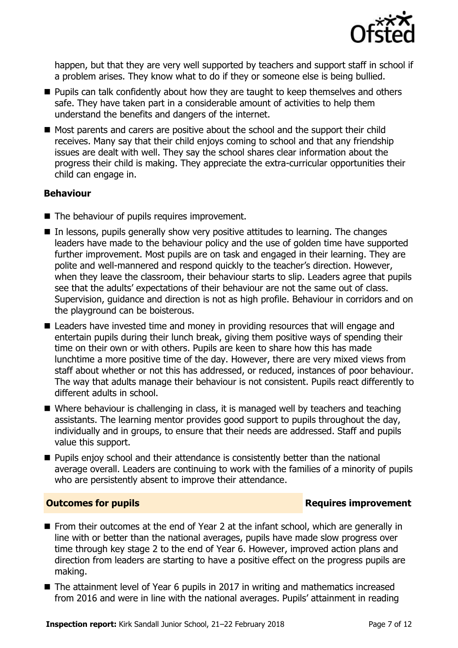

happen, but that they are very well supported by teachers and support staff in school if a problem arises. They know what to do if they or someone else is being bullied.

- **Pupils can talk confidently about how they are taught to keep themselves and others** safe. They have taken part in a considerable amount of activities to help them understand the benefits and dangers of the internet.
- Most parents and carers are positive about the school and the support their child receives. Many say that their child enjoys coming to school and that any friendship issues are dealt with well. They say the school shares clear information about the progress their child is making. They appreciate the extra-curricular opportunities their child can engage in.

### **Behaviour**

- The behaviour of pupils requires improvement.
- $\blacksquare$  In lessons, pupils generally show very positive attitudes to learning. The changes leaders have made to the behaviour policy and the use of golden time have supported further improvement. Most pupils are on task and engaged in their learning. They are polite and well-mannered and respond quickly to the teacher's direction. However, when they leave the classroom, their behaviour starts to slip. Leaders agree that pupils see that the adults' expectations of their behaviour are not the same out of class. Supervision, guidance and direction is not as high profile. Behaviour in corridors and on the playground can be boisterous.
- Leaders have invested time and money in providing resources that will engage and entertain pupils during their lunch break, giving them positive ways of spending their time on their own or with others. Pupils are keen to share how this has made lunchtime a more positive time of the day. However, there are very mixed views from staff about whether or not this has addressed, or reduced, instances of poor behaviour. The way that adults manage their behaviour is not consistent. Pupils react differently to different adults in school.
- Where behaviour is challenging in class, it is managed well by teachers and teaching assistants. The learning mentor provides good support to pupils throughout the day, individually and in groups, to ensure that their needs are addressed. Staff and pupils value this support.
- **Pupils enjoy school and their attendance is consistently better than the national** average overall. Leaders are continuing to work with the families of a minority of pupils who are persistently absent to improve their attendance.

### **Outcomes for pupils Requires improvement**

- From their outcomes at the end of Year 2 at the infant school, which are generally in line with or better than the national averages, pupils have made slow progress over time through key stage 2 to the end of Year 6. However, improved action plans and direction from leaders are starting to have a positive effect on the progress pupils are making.
- The attainment level of Year 6 pupils in 2017 in writing and mathematics increased from 2016 and were in line with the national averages. Pupils' attainment in reading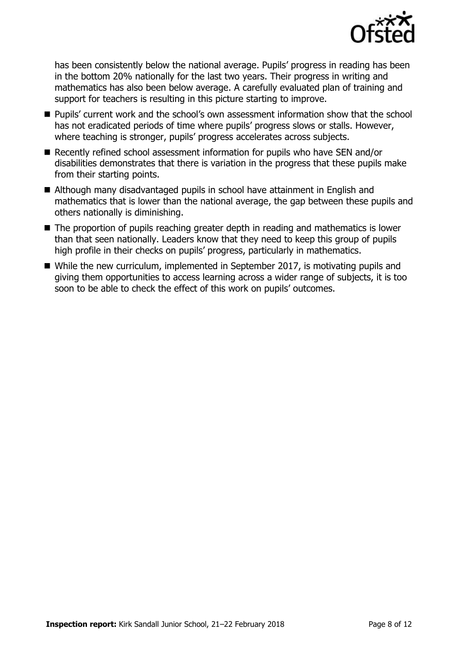

has been consistently below the national average. Pupils' progress in reading has been in the bottom 20% nationally for the last two years. Their progress in writing and mathematics has also been below average. A carefully evaluated plan of training and support for teachers is resulting in this picture starting to improve.

- Pupils' current work and the school's own assessment information show that the school has not eradicated periods of time where pupils' progress slows or stalls. However, where teaching is stronger, pupils' progress accelerates across subjects.
- Recently refined school assessment information for pupils who have SEN and/or disabilities demonstrates that there is variation in the progress that these pupils make from their starting points.
- Although many disadvantaged pupils in school have attainment in English and mathematics that is lower than the national average, the gap between these pupils and others nationally is diminishing.
- The proportion of pupils reaching greater depth in reading and mathematics is lower than that seen nationally. Leaders know that they need to keep this group of pupils high profile in their checks on pupils' progress, particularly in mathematics.
- While the new curriculum, implemented in September 2017, is motivating pupils and giving them opportunities to access learning across a wider range of subjects, it is too soon to be able to check the effect of this work on pupils' outcomes.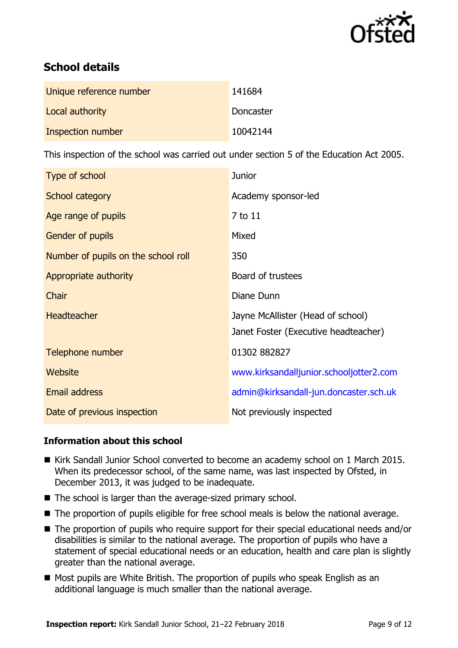

# **School details**

| Unique reference number | 141684    |
|-------------------------|-----------|
| Local authority         | Doncaster |
| Inspection number       | 10042144  |

This inspection of the school was carried out under section 5 of the Education Act 2005.

| Type of school                      | <b>Junior</b>                           |
|-------------------------------------|-----------------------------------------|
| School category                     | Academy sponsor-led                     |
| Age range of pupils                 | 7 to 11                                 |
| <b>Gender of pupils</b>             | Mixed                                   |
| Number of pupils on the school roll | 350                                     |
| Appropriate authority               | Board of trustees                       |
| Chair                               | Diane Dunn                              |
| <b>Headteacher</b>                  | Jayne McAllister (Head of school)       |
|                                     | Janet Foster (Executive headteacher)    |
| Telephone number                    | 01302 882827                            |
| Website                             | www.kirksandalljunior.schooljotter2.com |
| <b>Email address</b>                | admin@kirksandall-jun.doncaster.sch.uk  |
| Date of previous inspection         | Not previously inspected                |

### **Information about this school**

- Kirk Sandall Junior School converted to become an academy school on 1 March 2015. When its predecessor school, of the same name, was last inspected by Ofsted, in December 2013, it was judged to be inadequate.
- The school is larger than the average-sized primary school.
- The proportion of pupils eligible for free school meals is below the national average.
- The proportion of pupils who require support for their special educational needs and/or disabilities is similar to the national average. The proportion of pupils who have a statement of special educational needs or an education, health and care plan is slightly greater than the national average.
- Most pupils are White British. The proportion of pupils who speak English as an additional language is much smaller than the national average.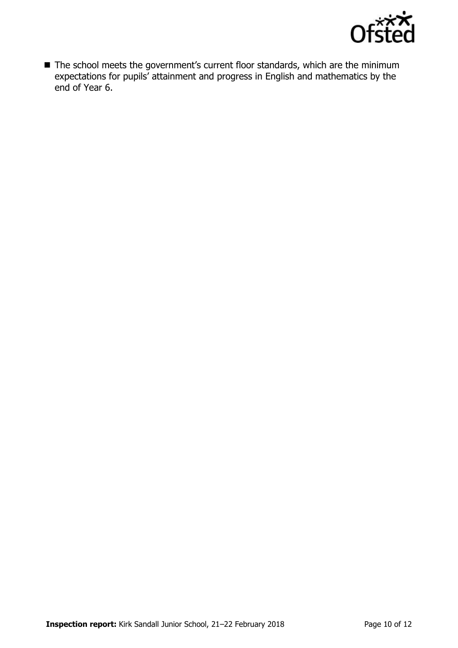

■ The school meets the government's current floor standards, which are the minimum expectations for pupils' attainment and progress in English and mathematics by the end of Year 6.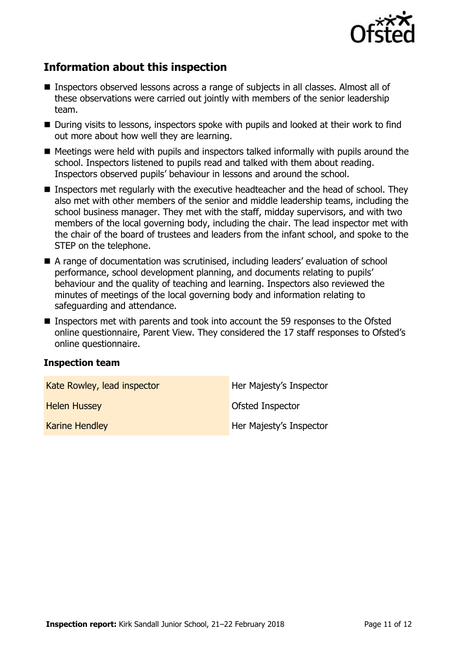

## **Information about this inspection**

- Inspectors observed lessons across a range of subjects in all classes. Almost all of these observations were carried out jointly with members of the senior leadership team.
- During visits to lessons, inspectors spoke with pupils and looked at their work to find out more about how well they are learning.
- Meetings were held with pupils and inspectors talked informally with pupils around the school. Inspectors listened to pupils read and talked with them about reading. Inspectors observed pupils' behaviour in lessons and around the school.
- Inspectors met regularly with the executive headteacher and the head of school. They also met with other members of the senior and middle leadership teams, including the school business manager. They met with the staff, midday supervisors, and with two members of the local governing body, including the chair. The lead inspector met with the chair of the board of trustees and leaders from the infant school, and spoke to the STEP on the telephone.
- A range of documentation was scrutinised, including leaders' evaluation of school performance, school development planning, and documents relating to pupils' behaviour and the quality of teaching and learning. Inspectors also reviewed the minutes of meetings of the local governing body and information relating to safeguarding and attendance.
- Inspectors met with parents and took into account the 59 responses to the Ofsted online questionnaire, Parent View. They considered the 17 staff responses to Ofsted's online questionnaire.

### **Inspection team**

| Kate Rowley, lead inspector | Her Majesty's Inspector |
|-----------------------------|-------------------------|
| <b>Helen Hussey</b>         | Ofsted Inspector        |
| <b>Karine Hendley</b>       | Her Majesty's Inspector |